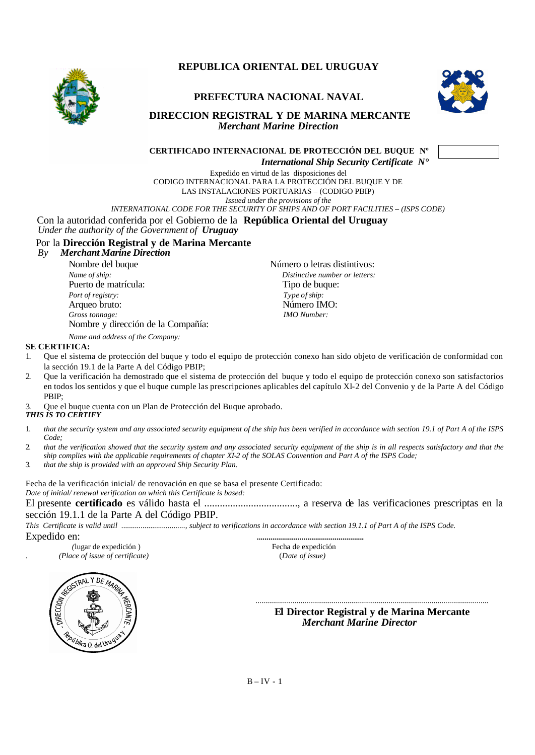

# **REPUBLICA ORIENTAL DEL URUGUAY**

## **PREFECTURA NACIONAL NAVAL**



#### **DIRECCION REGISTRAL Y DE MARINA MERCANTE** *Merchant Marine Direction*



Expedido en virtud de las disposiciones del CODIGO INTERNACIONAL PARA LA PROTECCIÓN DEL BUQUE Y DE LAS INSTALACIONES PORTUARIAS – (CODIGO PBIP) *Issued under the provisions of the*

*INTERNATIONAL CODE FOR THE SECURITY OF SHIPS AND OF PORT FACILITIES – (ISPS CODE)*

# Con la autoridad conferida por el Gobierno de la **República Oriental del Uruguay**

*Under the authority of the Government of Uruguay*

### Por la **Dirección Registral y de Marina Mercante**

#### *By Merchant Marine Direction*

Nombre del buque  $\blacksquare$  Número o letras distintivos: *Name of ship: Distinctive number or letters:*  Puerto de matrícula: Tipo de buque: *Port of registry:* Type of *ship:* Type of *ship:* Type of *ship:* Type of *ship:* Número IMO: Arqueo bruto: *Gross tonnage: IMO Number:* Nombre y dirección de la Compañía:

#### *Name and address of the Company:* **SE CERTIFICA:**

- 1. Que el sistema de protección del buque y todo el equipo de protección conexo han sido objeto de verificación de conformidad con la sección 19.1 de la Parte A del Código PBIP;
- 2. Que la verificación ha demostrado que el sistema de protección del buque y todo el equipo de protección conexo son satisfactorios en todos los sentidos y que el buque cumple las prescripciones aplicables del capítulo XI-2 del Convenio y de la Parte A del Código PBIP;

3. Que el buque cuenta con un Plan de Protección del Buque aprobado. *THIS IS TO CERTIFY*

- 1. *that the security system and any associated security equipment of the ship has been verified in accordance with section 19.1 of Part A of the ISPS Code;*
- 2. *that the verification showed that the security system and any associated security equipment of the ship is in all respects satisfactory and that the ship complies with the applicable requirements of chapter XI-2 of the SOLAS Convention and Part A of the ISPS Code;*
- 3. *that the ship is provided with an approved Ship Security Plan.*

Fecha de la verificación inicial/ de renovación en que se basa el presente Certificado: *Date of initial/ renewal verification on which this Certificate is based:*

El presente **certificado** es válido hasta el ...................................., a reserva de las verificaciones prescriptas en la sección 19.1.1 de la Parte A del Código PBIP.

*This Certificate is valid until ................................., subject to verifications in accordance with section 19.1.1 of Part A of the ISPS Code.*

*(*lugar de expedición) . *(Place of issue of certificate)* (*Date of issue)* 

Expedido en: *.......................................................* 



 **El Director Registral y de Marina Mercante** *Merchant Marine Director*

*.......................................................................................................................*

 $B - IV - 1$